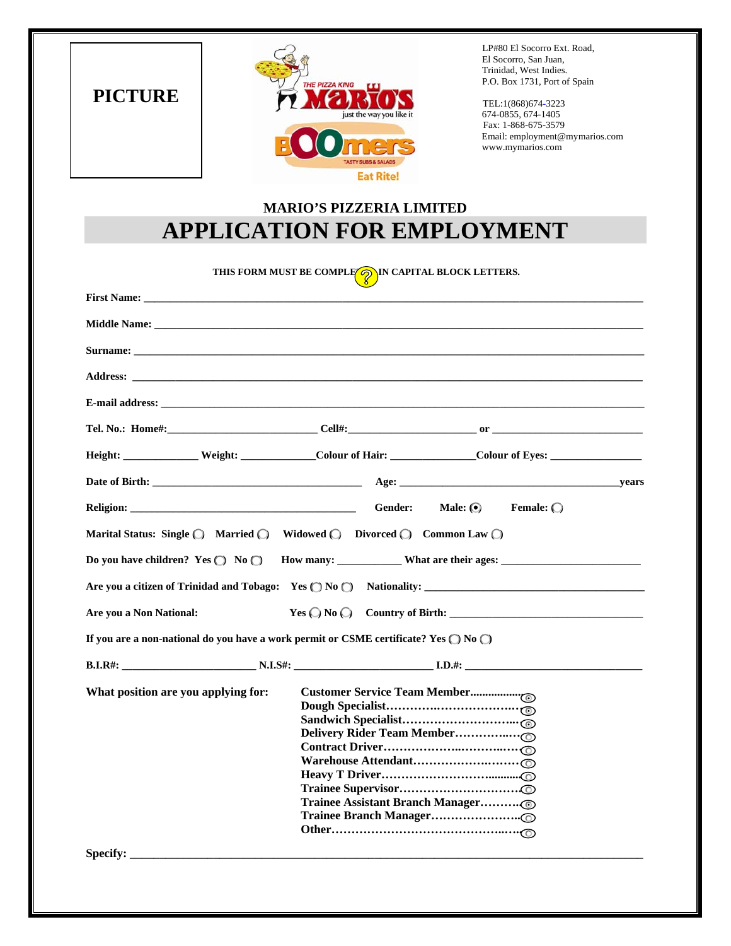**PICTURE** 



 LP#80 El Socorro Ext. Road, El Socorro, San Juan, Trinidad, West Indies. P.O. Box 1731, Port of Spain

 Fax: 1-868-675-3579 Email: employment[@mymarios.com](mailto:employment@mymarios.com)  www.mymarios.com

## **MARIO'S PIZZERIA LIMITED APPLICATION FOR EMPLOYMENT**

| THIS FORM MUST BE COMPLE <b>OF IN CAPITAL BLOCK LETTERS.</b>                                                                                                                                                                       |                                                                                                       |  |  |  |
|------------------------------------------------------------------------------------------------------------------------------------------------------------------------------------------------------------------------------------|-------------------------------------------------------------------------------------------------------|--|--|--|
| <b>First Name:</b> The same of the same of the same of the same of the same of the same of the same of the same of the same of the same of the same of the same of the same of the same of the same of the same of the same of the |                                                                                                       |  |  |  |
|                                                                                                                                                                                                                                    |                                                                                                       |  |  |  |
| Surname: Note that the same of the same of the same of the same of the same of the same of the same of the same of the same of the same of the same of the same of the same of the same of the same of the same of the same of     |                                                                                                       |  |  |  |
|                                                                                                                                                                                                                                    |                                                                                                       |  |  |  |
|                                                                                                                                                                                                                                    |                                                                                                       |  |  |  |
|                                                                                                                                                                                                                                    |                                                                                                       |  |  |  |
|                                                                                                                                                                                                                                    | Height: Weight: Weight: Colour of Hair: Colour Colour of Eyes:                                        |  |  |  |
|                                                                                                                                                                                                                                    |                                                                                                       |  |  |  |
| <b>Religion: Example 2018</b>                                                                                                                                                                                                      | Female: $\bigcirc$<br>Gender:<br>Male: $\odot$                                                        |  |  |  |
|                                                                                                                                                                                                                                    | Marital Status: Single ( Married ( Widowed ( Divorced ( Common Law ( )                                |  |  |  |
|                                                                                                                                                                                                                                    |                                                                                                       |  |  |  |
|                                                                                                                                                                                                                                    |                                                                                                       |  |  |  |
| Are you a Non National:                                                                                                                                                                                                            |                                                                                                       |  |  |  |
|                                                                                                                                                                                                                                    | If you are a non-national do you have a work permit or CSME certificate? Yes $\bigcirc$ No $\bigcirc$ |  |  |  |
|                                                                                                                                                                                                                                    |                                                                                                       |  |  |  |
| What position are you applying for:                                                                                                                                                                                                |                                                                                                       |  |  |  |
| <b>Specify:</b>                                                                                                                                                                                                                    |                                                                                                       |  |  |  |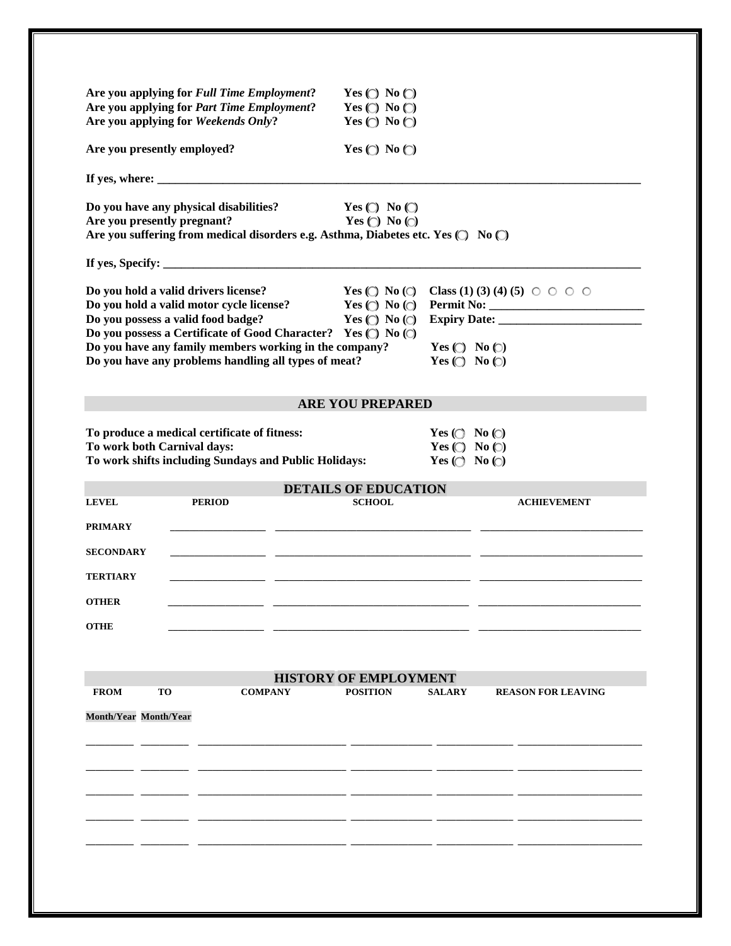| Are you applying for Full Time Employment?                                                                | Yes $\bigcirc$ No $\bigcirc$                                 |                                                              |                           |
|-----------------------------------------------------------------------------------------------------------|--------------------------------------------------------------|--------------------------------------------------------------|---------------------------|
| Are you applying for Part Time Employment?<br>Are you applying for Weekends Only?                         | Yes $\bigcirc$ No $\bigcirc$<br>Yes $\bigcirc$ No $\bigcirc$ |                                                              |                           |
|                                                                                                           |                                                              |                                                              |                           |
| Are you presently employed?                                                                               | Yes $\bigcirc$ No $\bigcirc$                                 |                                                              |                           |
|                                                                                                           |                                                              |                                                              |                           |
| Do you have any physical disabilities?                                                                    | Yes $\bigcirc$ No $\bigcirc$                                 |                                                              |                           |
| Are you presently pregnant?                                                                               | Yes $\bigcirc$ No $\bigcirc$                                 |                                                              |                           |
| Are you suffering from medical disorders e.g. Asthma, Diabetes etc. Yes ( No C)                           |                                                              |                                                              |                           |
|                                                                                                           |                                                              |                                                              |                           |
| Do you hold a valid drivers license?                                                                      | $Yes \textcircled{} No \textcircled{}$                       | <b>Class</b> (1) (3) (4) (5) $\circ$ $\circ$ $\circ$ $\circ$ |                           |
| Do you hold a valid motor cycle license? $Yes \bigcirc No \bigcirc$<br>Do you possess a valid food badge? | Yes $\bigcirc$ No $\bigcirc$                                 |                                                              |                           |
| Do you possess a Certificate of Good Character? Yes (C) No (C)                                            |                                                              |                                                              |                           |
| Do you have any family members working in the company?                                                    |                                                              | Yes $\bigcirc$ No $\bigcirc$                                 |                           |
| Do you have any problems handling all types of meat?                                                      |                                                              | Yes $\bigcirc$ No $\bigcirc$                                 |                           |
|                                                                                                           | <b>ARE YOU PREPARED</b>                                      |                                                              |                           |
| To produce a medical certificate of fitness:                                                              |                                                              | Yes ( $\bigcirc$ No $\bigcirc$ )                             |                           |
| To work both Carnival days:                                                                               |                                                              | Yes $\bigcirc$ No $\bigcirc$                                 |                           |
| To work shifts including Sundays and Public Holidays:                                                     |                                                              | Yes ( $\bigcirc$ No $\bigcirc$ )                             |                           |
|                                                                                                           | <b>DETAILS OF EDUCATION</b>                                  |                                                              |                           |
| <b>PERIOD</b><br><b>LEVEL</b>                                                                             | <b>SCHOOL</b>                                                |                                                              | <b>ACHIEVEMENT</b>        |
| <b>PRIMARY</b>                                                                                            |                                                              |                                                              |                           |
| <b>SECONDARY</b>                                                                                          |                                                              |                                                              |                           |
|                                                                                                           |                                                              |                                                              |                           |
| <b>TERTIARY</b>                                                                                           |                                                              |                                                              |                           |
| <b>OTHER</b>                                                                                              |                                                              |                                                              |                           |
| <b>OTHE</b>                                                                                               |                                                              |                                                              |                           |
|                                                                                                           |                                                              |                                                              |                           |
|                                                                                                           |                                                              |                                                              |                           |
| <b>TO</b><br><b>COMPANY</b><br><b>FROM</b>                                                                | <b>HISTORY OF EMPLOYMENT</b><br><b>POSITION</b>              | <b>SALARY</b>                                                | <b>REASON FOR LEAVING</b> |
|                                                                                                           |                                                              |                                                              |                           |
| Month/Year Month/Year                                                                                     |                                                              |                                                              |                           |
|                                                                                                           |                                                              |                                                              |                           |
|                                                                                                           |                                                              |                                                              |                           |
|                                                                                                           |                                                              |                                                              |                           |
|                                                                                                           |                                                              |                                                              |                           |
|                                                                                                           |                                                              |                                                              |                           |
|                                                                                                           |                                                              |                                                              |                           |
|                                                                                                           |                                                              |                                                              |                           |
|                                                                                                           |                                                              |                                                              |                           |
|                                                                                                           |                                                              |                                                              |                           |
|                                                                                                           |                                                              |                                                              |                           |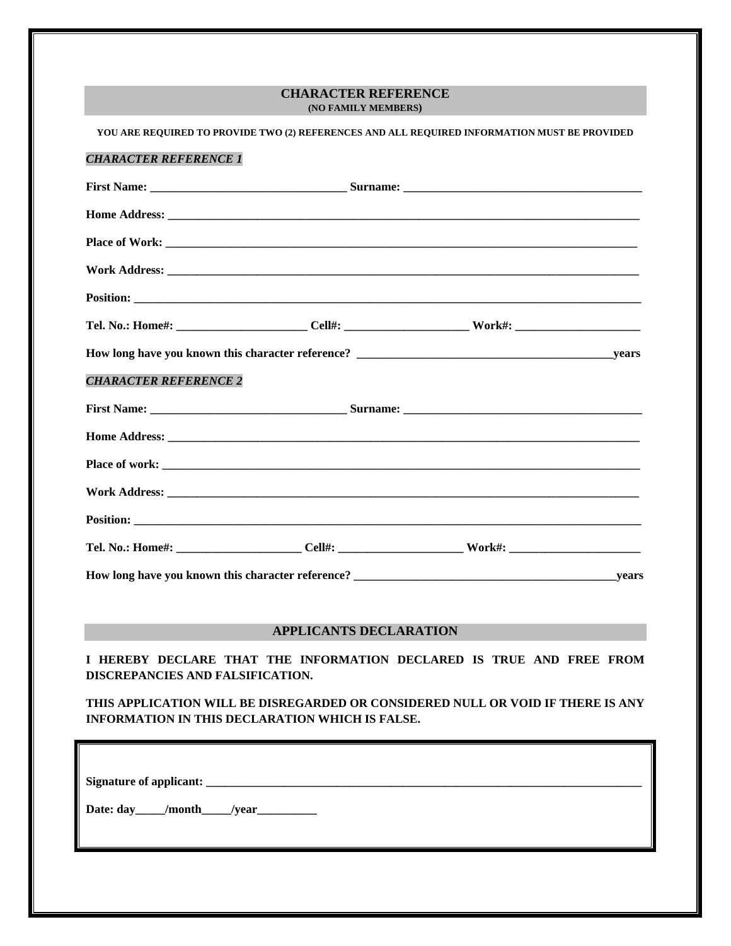## **CHARACTER REFERENCE (NO FAMILY MEMBERS)**

|                                                                                                                                    | YOU ARE REQUIRED TO PROVIDE TWO (2) REFERENCES AND ALL REQUIRED INFORMATION MUST BE PROVIDED                   |  |  |  |
|------------------------------------------------------------------------------------------------------------------------------------|----------------------------------------------------------------------------------------------------------------|--|--|--|
| <b>CHARACTER REFERENCE 1</b>                                                                                                       |                                                                                                                |  |  |  |
|                                                                                                                                    |                                                                                                                |  |  |  |
|                                                                                                                                    |                                                                                                                |  |  |  |
|                                                                                                                                    |                                                                                                                |  |  |  |
|                                                                                                                                    |                                                                                                                |  |  |  |
|                                                                                                                                    |                                                                                                                |  |  |  |
|                                                                                                                                    | Tel. No.: Home#: __________________________Cell#: ______________________________Work#: _______________________ |  |  |  |
|                                                                                                                                    |                                                                                                                |  |  |  |
| <b>CHARACTER REFERENCE 2</b>                                                                                                       |                                                                                                                |  |  |  |
|                                                                                                                                    |                                                                                                                |  |  |  |
|                                                                                                                                    |                                                                                                                |  |  |  |
|                                                                                                                                    |                                                                                                                |  |  |  |
|                                                                                                                                    |                                                                                                                |  |  |  |
|                                                                                                                                    |                                                                                                                |  |  |  |
|                                                                                                                                    |                                                                                                                |  |  |  |
|                                                                                                                                    |                                                                                                                |  |  |  |
|                                                                                                                                    |                                                                                                                |  |  |  |
|                                                                                                                                    | <b>APPLICANTS DECLARATION</b>                                                                                  |  |  |  |
| I HEREBY DECLARE THAT THE INFORMATION DECLARED IS TRUE AND FREE FROM<br>DISCREPANCIES AND FALSIFICATION.                           |                                                                                                                |  |  |  |
| THIS APPLICATION WILL BE DISREGARDED OR CONSIDERED NULL OR VOID IF THERE IS ANY<br>INFORMATION IN THIS DECLARATION WHICH IS FALSE. |                                                                                                                |  |  |  |
|                                                                                                                                    |                                                                                                                |  |  |  |
|                                                                                                                                    |                                                                                                                |  |  |  |
| Date: day /month /year                                                                                                             |                                                                                                                |  |  |  |
|                                                                                                                                    |                                                                                                                |  |  |  |
|                                                                                                                                    |                                                                                                                |  |  |  |